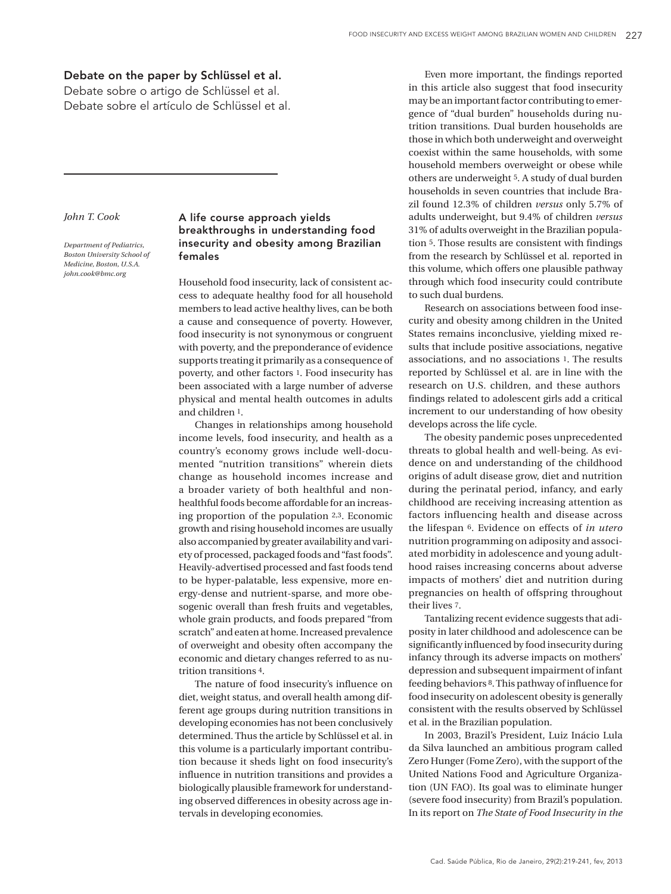## Debate on the paper by Schlüssel et al.

Debate sobre o artigo de Schlüssel et al. Debate sobre el artículo de Schlüssel et al.

## *John T. Cook*

*Department of Pediatrics, Boston University School of Medicine, Boston, U.S.A. john.cook@bmc.org*

## A life course approach yields breakthroughs in understanding food insecurity and obesity among Brazilian females

Household food insecurity, lack of consistent access to adequate healthy food for all household members to lead active healthy lives, can be both a cause and consequence of poverty. However, food insecurity is not synonymous or congruent with poverty, and the preponderance of evidence supports treating it primarily as a consequence of poverty, and other factors 1. Food insecurity has been associated with a large number of adverse physical and mental health outcomes in adults and children 1.

Changes in relationships among household income levels, food insecurity, and health as a country's economy grows include well-documented "nutrition transitions" wherein diets change as household incomes increase and a broader variety of both healthful and nonhealthful foods become affordable for an increasing proportion of the population 2,3. Economic growth and rising household incomes are usually also accompanied by greater availability and variety of processed, packaged foods and "fast foods". Heavily-advertised processed and fast foods tend to be hyper-palatable, less expensive, more energy-dense and nutrient-sparse, and more obesogenic overall than fresh fruits and vegetables, whole grain products, and foods prepared "from scratch" and eaten at home. Increased prevalence of overweight and obesity often accompany the economic and dietary changes referred to as nutrition transitions 4.

The nature of food insecurity's influence on diet, weight status, and overall health among different age groups during nutrition transitions in developing economies has not been conclusively determined. Thus the article by Schlüssel et al. in this volume is a particularly important contribution because it sheds light on food insecurity's influence in nutrition transitions and provides a biologically plausible framework for understanding observed differences in obesity across age intervals in developing economies.

Even more important, the findings reported in this article also suggest that food insecurity may be an important factor contributing to emergence of "dual burden" households during nutrition transitions. Dual burden households are those in which both underweight and overweight coexist within the same households, with some household members overweight or obese while others are underweight 5. A study of dual burden households in seven countries that include Brazil found 12.3% of children *versus* only 5.7% of adults underweight, but 9.4% of children *versus* 31% of adults overweight in the Brazilian population 5. Those results are consistent with findings from the research by Schlüssel et al. reported in this volume, which offers one plausible pathway through which food insecurity could contribute to such dual burdens.

Research on associations between food insecurity and obesity among children in the United States remains inconclusive, yielding mixed results that include positive associations, negative associations, and no associations 1. The results reported by Schlüssel et al. are in line with the research on U.S. children, and these authors findings related to adolescent girls add a critical increment to our understanding of how obesity develops across the life cycle.

The obesity pandemic poses unprecedented threats to global health and well-being. As evidence on and understanding of the childhood origins of adult disease grow, diet and nutrition during the perinatal period, infancy, and early childhood are receiving increasing attention as factors influencing health and disease across the lifespan 6. Evidence on effects of *in utero* nutrition programming on adiposity and associated morbidity in adolescence and young adulthood raises increasing concerns about adverse impacts of mothers' diet and nutrition during pregnancies on health of offspring throughout their lives 7.

Tantalizing recent evidence suggests that adiposity in later childhood and adolescence can be significantly influenced by food insecurity during infancy through its adverse impacts on mothers' depression and subsequent impairment of infant feeding behaviors 8. This pathway of influence for food insecurity on adolescent obesity is generally consistent with the results observed by Schlüssel et al. in the Brazilian population.

In 2003, Brazil's President, Luiz Inácio Lula da Silva launched an ambitious program called Zero Hunger (Fome Zero), with the support of the United Nations Food and Agriculture Organization (UN FAO). Its goal was to eliminate hunger (severe food insecurity) from Brazil's population. In its report on *The State of Food Insecurity in the*